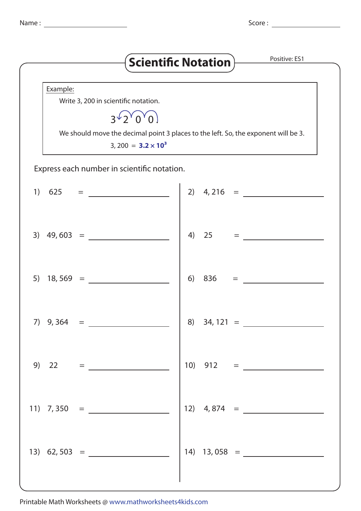